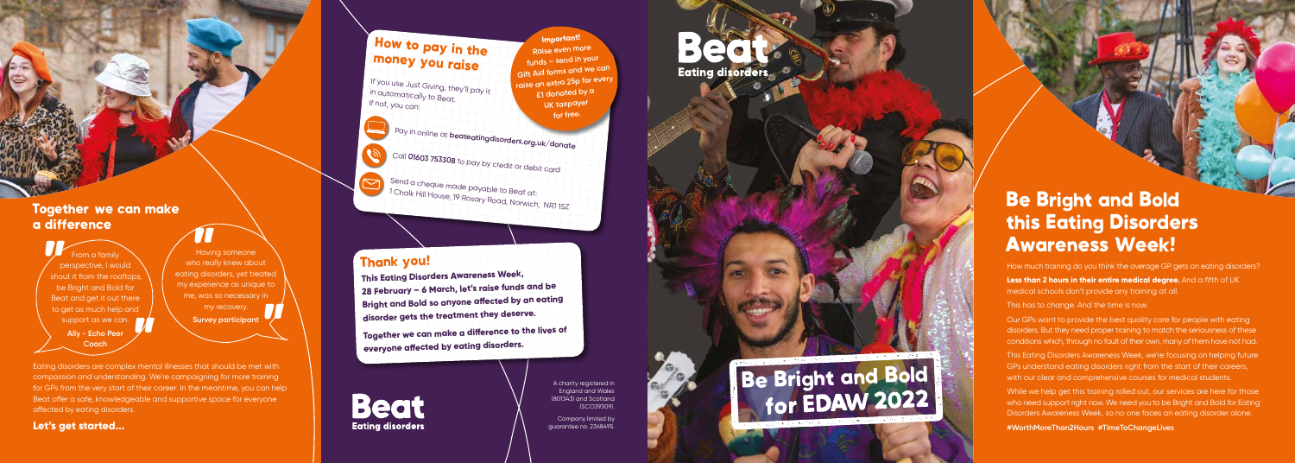A charity registered in England and Wales (801343) and Scotland (SCO39309).

Company limited by guarantee no. 2368495.

### Thank you!

From a family perspective, I would shout it from the rooftops, be Bright and Bold for Beat and get it out there to get as much help and support as we can. **Ally - Echo Peer Coach** pe<br>""<br>""" shou **"** 

**This Eating Disorders Awareness Week, 28 February – 6 March, let's raise funds and be disorder gets the treatment they deserve.** 

**Beat Eating disorders** 

**Bright and Bold so anyone affected by an eating Together we can make a difference to the lives of everyone affected by eating disorders.** 

Having someone who really knew about eating disorders, yet treated my experience as unique to me, was so necessary in my recovery. **Survey Survey Participant**<br>
Having someone<br>
ho really knew aboug disorders, yet tree<br>
"<br>
"<br>
" xy necovery participant<br>
"<br>
Survey participant" **X** 

### Together we can make a difference

Eating disorders are complex mental illnesses that should be met with compassion and understanding. We're campaigning for more training for GPs from the very start of their career. In the meantime, you can help Beat offer a safe, knowledgeable and supportive space for everyone affected by eating disorders.

### **Let's get started...**

**Eating disorders** 

Be Bright and Bold<br>for EDAW 2022



## How to pay in the money you raise

If you use Just Giving, they'll pay it If not, you can:

in automatically to Beat.

While we help get this training rolled out, our services are here for those who need support right now. We need you to be Bright and Bold for Eating Disorders Awareness Week, so no one faces an eating disorder alone.

Pay in online at **beateatingdisorders.org.uk/donate**

Call **01603 753308** to pay by credit or debit card

Send a cheque made payable to Beat at: 1 Chalk Hill House, 19 Rosary Road, Norwich, NR1 1SZ

**Important! Raise even more funds – send in your Gift Aid forms and we can raise an extra 25p for every £1 donated by a UK taxpayer for free.**

> Be Bright and Bold this Eating Disorders Awareness Week!

How much training do you think the average GP gets on eating disorders? **Less than 2 hours in their entire medical degree.** And a fifth of UK medical schools don't provide any training at all.

This has to change. And the time is now.

Our GPs want to provide the best quality care for people with eating disorders. But they need proper training to match the seriousness of these conditions which, through no fault of their own, many of them have not had.

This Eating Disorders Awareness Week, we're focusing on helping future GPs understand eating disorders right from the start of their careers, with our clear and comprehensive courses for medical students.

**#WorthMoreThan2Hours #TimeToChangeLives**